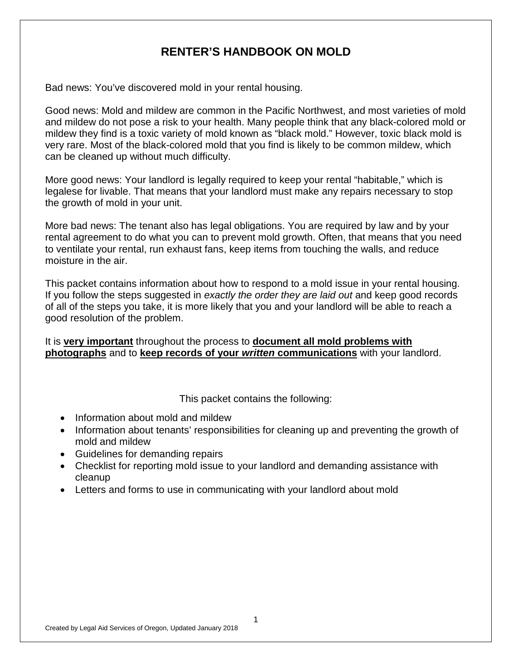# **RENTER'S HANDBOOK ON MOLD**

Bad news: You've discovered mold in your rental housing.

Good news: Mold and mildew are common in the Pacific Northwest, and most varieties of mold and mildew do not pose a risk to your health. Many people think that any black-colored mold or mildew they find is a toxic variety of mold known as "black mold." However, toxic black mold is very rare. Most of the black-colored mold that you find is likely to be common mildew, which can be cleaned up without much difficulty.

More good news: Your landlord is legally required to keep your rental "habitable," which is legalese for livable. That means that your landlord must make any repairs necessary to stop the growth of mold in your unit.

More bad news: The tenant also has legal obligations. You are required by law and by your rental agreement to do what you can to prevent mold growth. Often, that means that you need to ventilate your rental, run exhaust fans, keep items from touching the walls, and reduce moisture in the air.

This packet contains information about how to respond to a mold issue in your rental housing. If you follow the steps suggested in *exactly the order they are laid out* and keep good records of all of the steps you take, it is more likely that you and your landlord will be able to reach a good resolution of the problem.

It is **very important** throughout the process to **document all mold problems with photographs** and to **keep records of your** *written* **communications** with your landlord.

This packet contains the following:

- Information about mold and mildew
- Information about tenants' responsibilities for cleaning up and preventing the growth of mold and mildew
- Guidelines for demanding repairs
- Checklist for reporting mold issue to your landlord and demanding assistance with cleanup
- Letters and forms to use in communicating with your landlord about mold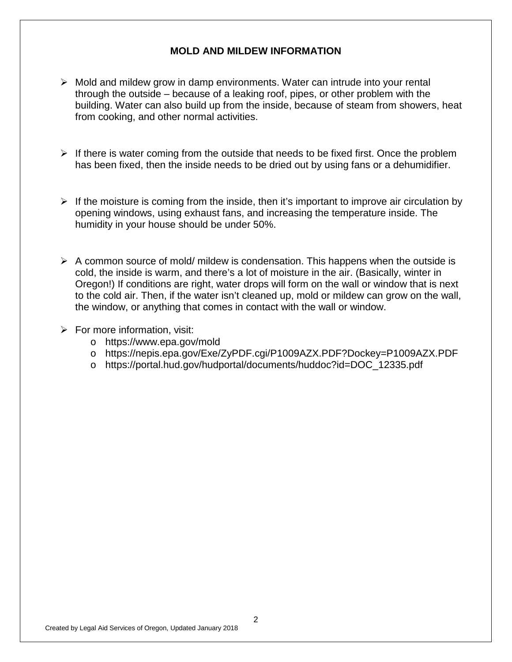#### **MOLD AND MILDEW INFORMATION**

- $\triangleright$  Mold and mildew grow in damp environments. Water can intrude into your rental through the outside – because of a leaking roof, pipes, or other problem with the building. Water can also build up from the inside, because of steam from showers, heat from cooking, and other normal activities.
- $\triangleright$  If there is water coming from the outside that needs to be fixed first. Once the problem has been fixed, then the inside needs to be dried out by using fans or a dehumidifier.
- $\triangleright$  If the moisture is coming from the inside, then it's important to improve air circulation by opening windows, using exhaust fans, and increasing the temperature inside. The humidity in your house should be under 50%.
- $\triangleright$  A common source of mold/ mildew is condensation. This happens when the outside is cold, the inside is warm, and there's a lot of moisture in the air. (Basically, winter in Oregon!) If conditions are right, water drops will form on the wall or window that is next to the cold air. Then, if the water isn't cleaned up, mold or mildew can grow on the wall, the window, or anything that comes in contact with the wall or window.
- $\triangleright$  For more information, visit:
	- o https://www.epa.gov/mold
	- o https://nepis.epa.gov/Exe/ZyPDF.cgi/P1009AZX.PDF?Dockey=P1009AZX.PDF
	- o https://portal.hud.gov/hudportal/documents/huddoc?id=DOC\_12335.pdf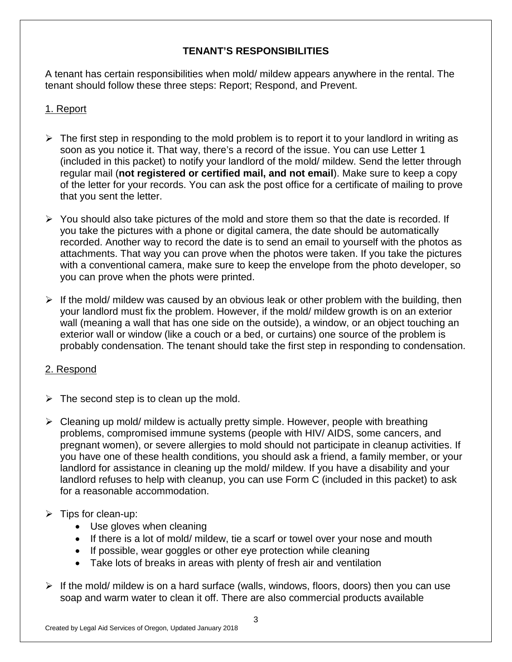# **TENANT'S RESPONSIBILITIES**

A tenant has certain responsibilities when mold/ mildew appears anywhere in the rental. The tenant should follow these three steps: Report; Respond, and Prevent.

# 1. Report

- $\triangleright$  The first step in responding to the mold problem is to report it to your landlord in writing as soon as you notice it. That way, there's a record of the issue. You can use Letter 1 (included in this packet) to notify your landlord of the mold/ mildew. Send the letter through regular mail (**not registered or certified mail, and not email**). Make sure to keep a copy of the letter for your records. You can ask the post office for a certificate of mailing to prove that you sent the letter.
- $\triangleright$  You should also take pictures of the mold and store them so that the date is recorded. If you take the pictures with a phone or digital camera, the date should be automatically recorded. Another way to record the date is to send an email to yourself with the photos as attachments. That way you can prove when the photos were taken. If you take the pictures with a conventional camera, make sure to keep the envelope from the photo developer, so you can prove when the phots were printed.
- $\triangleright$  If the mold/ mildew was caused by an obvious leak or other problem with the building, then your landlord must fix the problem. However, if the mold/ mildew growth is on an exterior wall (meaning a wall that has one side on the outside), a window, or an object touching an exterior wall or window (like a couch or a bed, or curtains) one source of the problem is probably condensation. The tenant should take the first step in responding to condensation.

# 2. Respond

- $\triangleright$  The second step is to clean up the mold.
- $\triangleright$  Cleaning up mold/ mildew is actually pretty simple. However, people with breathing problems, compromised immune systems (people with HIV/ AIDS, some cancers, and pregnant women), or severe allergies to mold should not participate in cleanup activities. If you have one of these health conditions, you should ask a friend, a family member, or your landlord for assistance in cleaning up the mold/ mildew. If you have a disability and your landlord refuses to help with cleanup, you can use Form C (included in this packet) to ask for a reasonable accommodation.

# $\triangleright$  Tips for clean-up:

- Use gloves when cleaning
- If there is a lot of mold/ mildew, tie a scarf or towel over your nose and mouth
- If possible, wear goggles or other eye protection while cleaning
- Take lots of breaks in areas with plenty of fresh air and ventilation
- $\triangleright$  If the mold/ mildew is on a hard surface (walls, windows, floors, doors) then you can use soap and warm water to clean it off. There are also commercial products available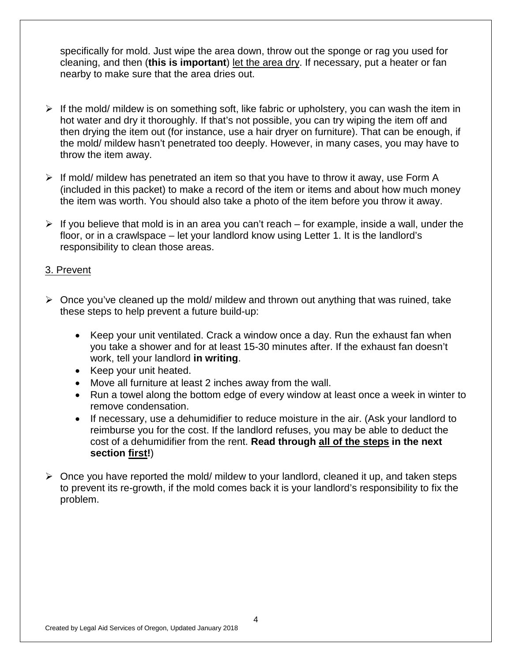specifically for mold. Just wipe the area down, throw out the sponge or rag you used for cleaning, and then (**this is important**) let the area dry. If necessary, put a heater or fan nearby to make sure that the area dries out.

- $\triangleright$  If the mold/ mildew is on something soft, like fabric or upholstery, you can wash the item in hot water and dry it thoroughly. If that's not possible, you can try wiping the item off and then drying the item out (for instance, use a hair dryer on furniture). That can be enough, if the mold/ mildew hasn't penetrated too deeply. However, in many cases, you may have to throw the item away.
- $\triangleright$  If mold/ mildew has penetrated an item so that you have to throw it away, use Form A (included in this packet) to make a record of the item or items and about how much money the item was worth. You should also take a photo of the item before you throw it away.
- $\triangleright$  If you believe that mold is in an area you can't reach for example, inside a wall, under the floor, or in a crawlspace – let your landlord know using Letter 1. It is the landlord's responsibility to clean those areas.

#### 3. Prevent

- $\triangleright$  Once vou've cleaned up the mold/ mildew and thrown out anything that was ruined, take these steps to help prevent a future build-up:
	- Keep your unit ventilated. Crack a window once a day. Run the exhaust fan when you take a shower and for at least 15-30 minutes after. If the exhaust fan doesn't work, tell your landlord **in writing**.
	- Keep your unit heated.
	- Move all furniture at least 2 inches away from the wall.
	- Run a towel along the bottom edge of every window at least once a week in winter to remove condensation.
	- If necessary, use a dehumidifier to reduce moisture in the air. (Ask your landlord to reimburse you for the cost. If the landlord refuses, you may be able to deduct the cost of a dehumidifier from the rent. **Read through all of the steps in the next section first!**)
- $\triangleright$  Once you have reported the mold/ mildew to your landlord, cleaned it up, and taken steps to prevent its re-growth, if the mold comes back it is your landlord's responsibility to fix the problem.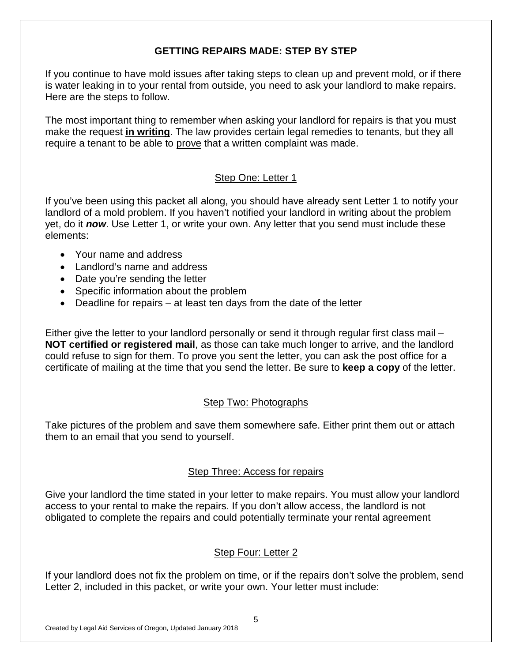# **GETTING REPAIRS MADE: STEP BY STEP**

If you continue to have mold issues after taking steps to clean up and prevent mold, or if there is water leaking in to your rental from outside, you need to ask your landlord to make repairs. Here are the steps to follow.

The most important thing to remember when asking your landlord for repairs is that you must make the request **in writing**. The law provides certain legal remedies to tenants, but they all require a tenant to be able to prove that a written complaint was made.

# Step One: Letter 1

If you've been using this packet all along, you should have already sent Letter 1 to notify your landlord of a mold problem. If you haven't notified your landlord in writing about the problem yet, do it *now*. Use Letter 1, or write your own. Any letter that you send must include these elements:

- Your name and address
- Landlord's name and address
- Date you're sending the letter
- Specific information about the problem
- Deadline for repairs at least ten days from the date of the letter

Either give the letter to your landlord personally or send it through regular first class mail – **NOT certified or registered mail**, as those can take much longer to arrive, and the landlord could refuse to sign for them. To prove you sent the letter, you can ask the post office for a certificate of mailing at the time that you send the letter. Be sure to **keep a copy** of the letter.

# Step Two: Photographs

Take pictures of the problem and save them somewhere safe. Either print them out or attach them to an email that you send to yourself.

# Step Three: Access for repairs

Give your landlord the time stated in your letter to make repairs. You must allow your landlord access to your rental to make the repairs. If you don't allow access, the landlord is not obligated to complete the repairs and could potentially terminate your rental agreement

# Step Four: Letter 2

If your landlord does not fix the problem on time, or if the repairs don't solve the problem, send Letter 2, included in this packet, or write your own. Your letter must include: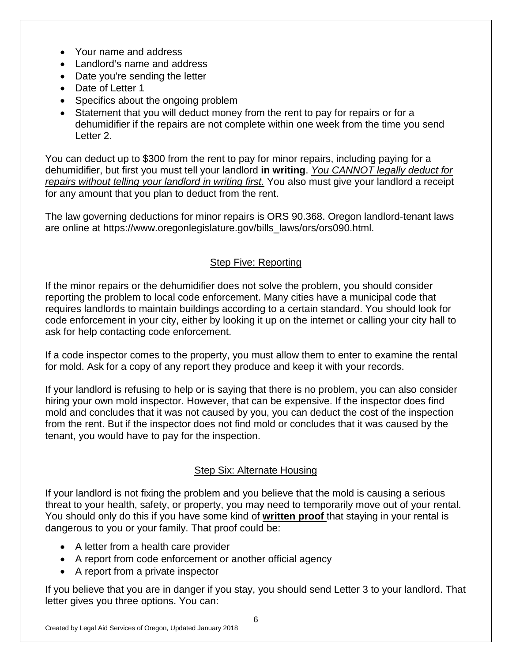- Your name and address
- Landlord's name and address
- Date you're sending the letter
- Date of Letter 1
- Specifics about the ongoing problem
- Statement that you will deduct money from the rent to pay for repairs or for a dehumidifier if the repairs are not complete within one week from the time you send Letter 2.

You can deduct up to \$300 from the rent to pay for minor repairs, including paying for a dehumidifier, but first you must tell your landlord **in writing**. *You CANNOT legally deduct for repairs without telling your landlord in writing first.* You also must give your landlord a receipt for any amount that you plan to deduct from the rent.

The law governing deductions for minor repairs is ORS 90.368. Oregon landlord-tenant laws are online at https://www.oregonlegislature.gov/bills\_laws/ors/ors090.html.

# Step Five: Reporting

If the minor repairs or the dehumidifier does not solve the problem, you should consider reporting the problem to local code enforcement. Many cities have a municipal code that requires landlords to maintain buildings according to a certain standard. You should look for code enforcement in your city, either by looking it up on the internet or calling your city hall to ask for help contacting code enforcement.

If a code inspector comes to the property, you must allow them to enter to examine the rental for mold. Ask for a copy of any report they produce and keep it with your records.

If your landlord is refusing to help or is saying that there is no problem, you can also consider hiring your own mold inspector. However, that can be expensive. If the inspector does find mold and concludes that it was not caused by you, you can deduct the cost of the inspection from the rent. But if the inspector does not find mold or concludes that it was caused by the tenant, you would have to pay for the inspection.

# Step Six: Alternate Housing

If your landlord is not fixing the problem and you believe that the mold is causing a serious threat to your health, safety, or property, you may need to temporarily move out of your rental. You should only do this if you have some kind of **written proof** that staying in your rental is dangerous to you or your family. That proof could be:

- A letter from a health care provider
- A report from code enforcement or another official agency
- A report from a private inspector

If you believe that you are in danger if you stay, you should send Letter 3 to your landlord. That letter gives you three options. You can: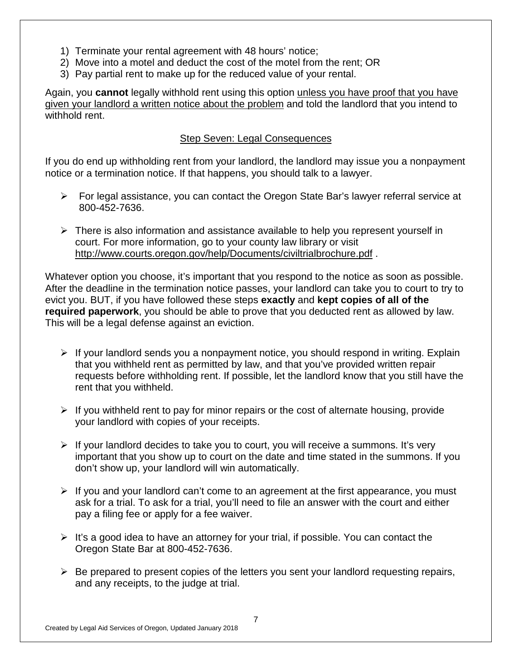- 1) Terminate your rental agreement with 48 hours' notice;
- 2) Move into a motel and deduct the cost of the motel from the rent; OR
- 3) Pay partial rent to make up for the reduced value of your rental.

Again, you **cannot** legally withhold rent using this option unless you have proof that you have given your landlord a written notice about the problem and told the landlord that you intend to withhold rent.

#### Step Seven: Legal Consequences

If you do end up withholding rent from your landlord, the landlord may issue you a nonpayment notice or a termination notice. If that happens, you should talk to a lawyer.

- $\triangleright$  For legal assistance, you can contact the Oregon State Bar's lawyer referral service at 800-452-7636.
- $\triangleright$  There is also information and assistance available to help you represent yourself in court. For more information, go to your county law library or visit http://www.courts.oregon.gov/help/Documents/civiltrialbrochure.pdf .

Whatever option you choose, it's important that you respond to the notice as soon as possible. After the deadline in the termination notice passes, your landlord can take you to court to try to evict you. BUT, if you have followed these steps **exactly** and **kept copies of all of the required paperwork**, you should be able to prove that you deducted rent as allowed by law. This will be a legal defense against an eviction.

- $\triangleright$  If your landlord sends you a nonpayment notice, you should respond in writing. Explain that you withheld rent as permitted by law, and that you've provided written repair requests before withholding rent. If possible, let the landlord know that you still have the rent that you withheld.
- $\triangleright$  If you withheld rent to pay for minor repairs or the cost of alternate housing, provide your landlord with copies of your receipts.
- $\triangleright$  If your landlord decides to take you to court, you will receive a summons. It's very important that you show up to court on the date and time stated in the summons. If you don't show up, your landlord will win automatically.
- $\triangleright$  If you and your landlord can't come to an agreement at the first appearance, you must ask for a trial. To ask for a trial, you'll need to file an answer with the court and either pay a filing fee or apply for a fee waiver.
- $\triangleright$  It's a good idea to have an attorney for your trial, if possible. You can contact the Oregon State Bar at 800-452-7636.
- $\triangleright$  Be prepared to present copies of the letters you sent your landlord requesting repairs, and any receipts, to the judge at trial.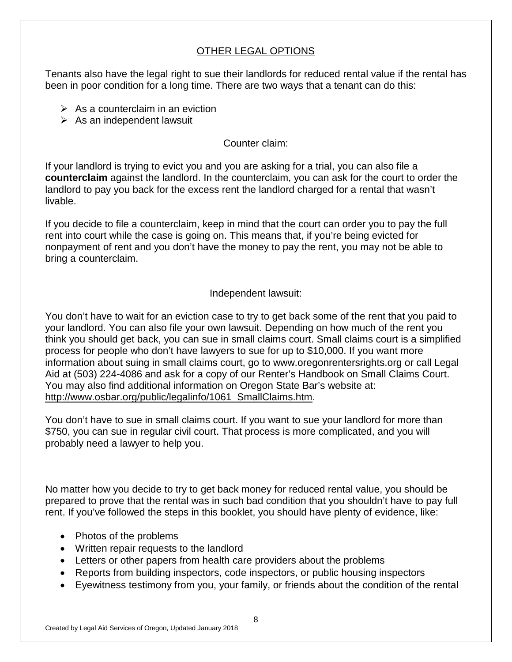# OTHER LEGAL OPTIONS

Tenants also have the legal right to sue their landlords for reduced rental value if the rental has been in poor condition for a long time. There are two ways that a tenant can do this:

- $\triangleright$  As a counterclaim in an eviction
- $\triangleright$  As an independent lawsuit

### Counter claim:

If your landlord is trying to evict you and you are asking for a trial, you can also file a **counterclaim** against the landlord. In the counterclaim, you can ask for the court to order the landlord to pay you back for the excess rent the landlord charged for a rental that wasn't livable.

If you decide to file a counterclaim, keep in mind that the court can order you to pay the full rent into court while the case is going on. This means that, if you're being evicted for nonpayment of rent and you don't have the money to pay the rent, you may not be able to bring a counterclaim.

#### Independent lawsuit:

You don't have to wait for an eviction case to try to get back some of the rent that you paid to your landlord. You can also file your own lawsuit. Depending on how much of the rent you think you should get back, you can sue in small claims court. Small claims court is a simplified process for people who don't have lawyers to sue for up to \$10,000. If you want more information about suing in small claims court, go to www.oregonrentersrights.org or call Legal Aid at (503) 224-4086 and ask for a copy of our Renter's Handbook on Small Claims Court. You may also find additional information on Oregon State Bar's website at: http://www.osbar.org/public/legalinfo/1061\_SmallClaims.htm.

You don't have to sue in small claims court. If you want to sue your landlord for more than \$750, you can sue in regular civil court. That process is more complicated, and you will probably need a lawyer to help you.

No matter how you decide to try to get back money for reduced rental value, you should be prepared to prove that the rental was in such bad condition that you shouldn't have to pay full rent. If you've followed the steps in this booklet, you should have plenty of evidence, like:

- Photos of the problems
- Written repair requests to the landlord
- Letters or other papers from health care providers about the problems
- Reports from building inspectors, code inspectors, or public housing inspectors
- Eyewitness testimony from you, your family, or friends about the condition of the rental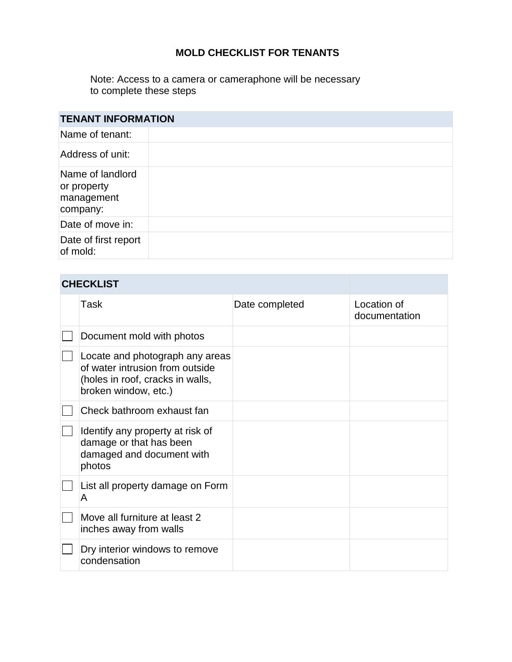# **MOLD CHECKLIST FOR TENANTS**

Note: Access to a camera or cameraphone will be necessary to complete these steps

| <b>TENANT INFORMATION</b>                                 |  |  |
|-----------------------------------------------------------|--|--|
| Name of tenant:                                           |  |  |
| Address of unit:                                          |  |  |
| Name of landlord<br>or property<br>management<br>company: |  |  |
| Date of move in:                                          |  |  |
| Date of first report<br>of mold:                          |  |  |

# **CHECKLIST**

| Task                                                                                                                           | Date completed | Location of<br>documentation |
|--------------------------------------------------------------------------------------------------------------------------------|----------------|------------------------------|
| Document mold with photos                                                                                                      |                |                              |
| Locate and photograph any areas<br>of water intrusion from outside<br>(holes in roof, cracks in walls,<br>broken window, etc.) |                |                              |
| Check bathroom exhaust fan                                                                                                     |                |                              |
| Identify any property at risk of<br>damage or that has been<br>damaged and document with<br>photos                             |                |                              |
| List all property damage on Form<br>A                                                                                          |                |                              |
| Move all furniture at least 2<br>inches away from walls                                                                        |                |                              |
| Dry interior windows to remove<br>condensation                                                                                 |                |                              |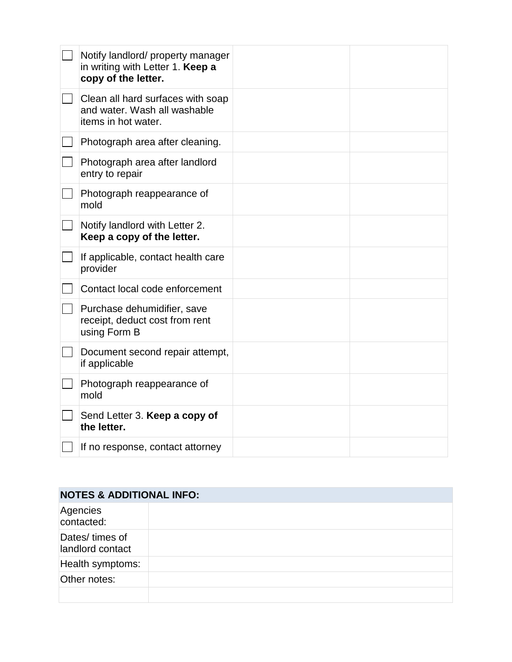| Notify landlord/ property manager<br>in writing with Letter 1. Keep a<br>copy of the letter. |  |
|----------------------------------------------------------------------------------------------|--|
| Clean all hard surfaces with soap<br>and water. Wash all washable<br>items in hot water.     |  |
| Photograph area after cleaning.                                                              |  |
| Photograph area after landlord<br>entry to repair                                            |  |
| Photograph reappearance of<br>mold                                                           |  |
| Notify landlord with Letter 2.<br>Keep a copy of the letter.                                 |  |
| If applicable, contact health care<br>provider                                               |  |
| Contact local code enforcement                                                               |  |
| Purchase dehumidifier, save<br>receipt, deduct cost from rent<br>using Form B                |  |
| Document second repair attempt,<br>if applicable                                             |  |
| Photograph reappearance of<br>mold                                                           |  |
| Send Letter 3. Keep a copy of<br>the letter.                                                 |  |
| If no response, contact attorney                                                             |  |

| <b>NOTES &amp; ADDITIONAL INFO:</b> |  |
|-------------------------------------|--|
| Agencies<br>contacted:              |  |
| Dates/ times of<br>landlord contact |  |
| Health symptoms:                    |  |
| Other notes:                        |  |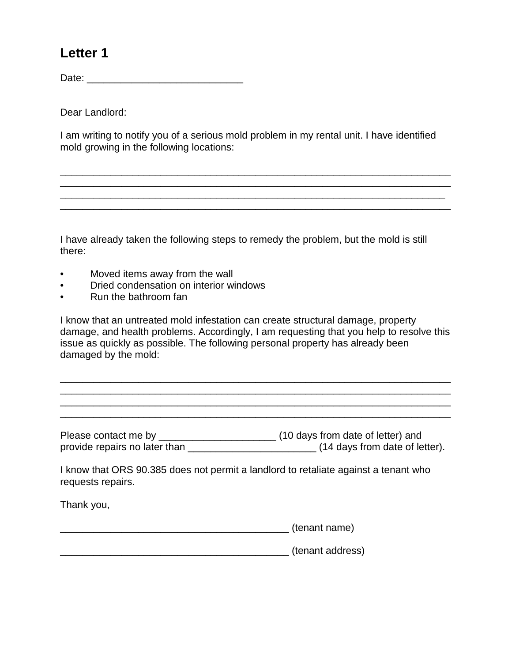# **Letter 1**

Date: \_\_\_\_\_\_\_\_\_\_\_\_\_\_\_\_\_\_\_\_\_\_\_\_\_\_\_\_

Dear Landlord:

I am writing to notify you of a serious mold problem in my rental unit. I have identified mold growing in the following locations:

\_\_\_\_\_\_\_\_\_\_\_\_\_\_\_\_\_\_\_\_\_\_\_\_\_\_\_\_\_\_\_\_\_\_\_\_\_\_\_\_\_\_\_\_\_\_\_\_\_\_\_\_\_\_\_\_\_\_\_\_\_\_\_\_\_\_\_\_\_\_ \_\_\_\_\_\_\_\_\_\_\_\_\_\_\_\_\_\_\_\_\_\_\_\_\_\_\_\_\_\_\_\_\_\_\_\_\_\_\_\_\_\_\_\_\_\_\_\_\_\_\_\_\_\_\_\_\_\_\_\_\_\_\_\_\_\_\_\_\_\_ \_\_\_\_\_\_\_\_\_\_\_\_\_\_\_\_\_\_\_\_\_\_\_\_\_\_\_\_\_\_\_\_\_\_\_\_\_\_\_\_\_\_\_\_\_\_\_\_\_\_\_\_\_\_\_\_\_\_\_\_\_\_\_\_\_\_\_\_\_ \_\_\_\_\_\_\_\_\_\_\_\_\_\_\_\_\_\_\_\_\_\_\_\_\_\_\_\_\_\_\_\_\_\_\_\_\_\_\_\_\_\_\_\_\_\_\_\_\_\_\_\_\_\_\_\_\_\_\_\_\_\_\_\_\_\_\_\_\_\_

I have already taken the following steps to remedy the problem, but the mold is still there:

- Moved items away from the wall
- Dried condensation on interior windows
- Run the bathroom fan

I know that an untreated mold infestation can create structural damage, property damage, and health problems. Accordingly, I am requesting that you help to resolve this issue as quickly as possible. The following personal property has already been damaged by the mold:

\_\_\_\_\_\_\_\_\_\_\_\_\_\_\_\_\_\_\_\_\_\_\_\_\_\_\_\_\_\_\_\_\_\_\_\_\_\_\_\_\_\_\_\_\_\_\_\_\_\_\_\_\_\_\_\_\_\_\_\_\_\_\_\_\_\_\_\_\_\_ \_\_\_\_\_\_\_\_\_\_\_\_\_\_\_\_\_\_\_\_\_\_\_\_\_\_\_\_\_\_\_\_\_\_\_\_\_\_\_\_\_\_\_\_\_\_\_\_\_\_\_\_\_\_\_\_\_\_\_\_\_\_\_\_\_\_\_\_\_\_

\_\_\_\_\_\_\_\_\_\_\_\_\_\_\_\_\_\_\_\_\_\_\_\_\_\_\_\_\_\_\_\_\_\_\_\_\_\_\_\_\_\_\_\_\_\_\_\_\_\_\_\_\_\_\_\_\_\_\_\_\_\_\_\_\_\_\_\_\_\_

Please contact me by \_\_\_\_\_\_\_\_\_\_\_\_\_\_\_\_\_\_\_\_\_\_\_\_\_\_\_\_\_\_\_\_\_(10 days from date of letter) and provide repairs no later than \_\_\_\_\_\_\_\_\_\_\_\_\_\_\_\_\_\_\_\_\_\_\_\_\_\_\_\_\_(14 days from date of letter).

I know that ORS 90.385 does not permit a landlord to retaliate against a tenant who requests repairs.

Thank you,

\_\_\_\_\_\_\_\_\_\_\_\_\_\_\_\_\_\_\_\_\_\_\_\_\_\_\_\_\_\_\_\_\_\_\_\_\_\_\_\_\_ (tenant name)

\_\_\_\_\_\_\_\_\_\_\_\_\_\_\_\_\_\_\_\_\_\_\_\_\_\_\_\_\_\_\_\_\_\_\_\_\_\_\_\_\_ (tenant address)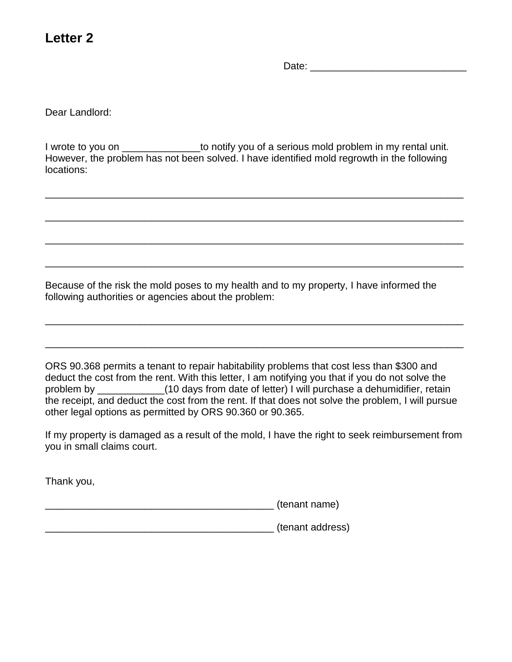# **Letter 2**

Date:  $\Box$ 

Dear Landlord:

I wrote to you on \_\_\_\_\_\_\_\_\_\_\_\_\_\_\_\_\_to notify you of a serious mold problem in my rental unit. However, the problem has not been solved. I have identified mold regrowth in the following locations:

\_\_\_\_\_\_\_\_\_\_\_\_\_\_\_\_\_\_\_\_\_\_\_\_\_\_\_\_\_\_\_\_\_\_\_\_\_\_\_\_\_\_\_\_\_\_\_\_\_\_\_\_\_\_\_\_\_\_\_\_\_\_\_\_\_\_\_\_\_\_\_\_\_\_\_

\_\_\_\_\_\_\_\_\_\_\_\_\_\_\_\_\_\_\_\_\_\_\_\_\_\_\_\_\_\_\_\_\_\_\_\_\_\_\_\_\_\_\_\_\_\_\_\_\_\_\_\_\_\_\_\_\_\_\_\_\_\_\_\_\_\_\_\_\_\_\_\_\_\_\_

\_\_\_\_\_\_\_\_\_\_\_\_\_\_\_\_\_\_\_\_\_\_\_\_\_\_\_\_\_\_\_\_\_\_\_\_\_\_\_\_\_\_\_\_\_\_\_\_\_\_\_\_\_\_\_\_\_\_\_\_\_\_\_\_\_\_\_\_\_\_\_\_\_\_\_

\_\_\_\_\_\_\_\_\_\_\_\_\_\_\_\_\_\_\_\_\_\_\_\_\_\_\_\_\_\_\_\_\_\_\_\_\_\_\_\_\_\_\_\_\_\_\_\_\_\_\_\_\_\_\_\_\_\_\_\_\_\_\_\_\_\_\_\_\_\_\_\_\_\_\_

\_\_\_\_\_\_\_\_\_\_\_\_\_\_\_\_\_\_\_\_\_\_\_\_\_\_\_\_\_\_\_\_\_\_\_\_\_\_\_\_\_\_\_\_\_\_\_\_\_\_\_\_\_\_\_\_\_\_\_\_\_\_\_\_\_\_\_\_\_\_\_\_\_\_\_

\_\_\_\_\_\_\_\_\_\_\_\_\_\_\_\_\_\_\_\_\_\_\_\_\_\_\_\_\_\_\_\_\_\_\_\_\_\_\_\_\_\_\_\_\_\_\_\_\_\_\_\_\_\_\_\_\_\_\_\_\_\_\_\_\_\_\_\_\_\_\_\_\_\_\_

Because of the risk the mold poses to my health and to my property, I have informed the following authorities or agencies about the problem:

ORS 90.368 permits a tenant to repair habitability problems that cost less than \$300 and deduct the cost from the rent. With this letter, I am notifying you that if you do not solve the problem by \_\_\_\_\_\_\_\_\_\_\_\_(10 days from date of letter) I will purchase a dehumidifier, retain the receipt, and deduct the cost from the rent. If that does not solve the problem, I will pursue other legal options as permitted by ORS 90.360 or 90.365.

If my property is damaged as a result of the mold, I have the right to seek reimbursement from you in small claims court.

Thank you,

\_\_\_\_\_\_\_\_\_\_\_\_\_\_\_\_\_\_\_\_\_\_\_\_\_\_\_\_\_\_\_\_\_\_\_\_\_\_\_\_\_ (tenant name)

\_\_\_\_\_\_\_\_\_\_\_\_\_\_\_\_\_\_\_\_\_\_\_\_\_\_\_\_\_\_\_\_\_\_\_\_\_\_\_\_\_ (tenant address)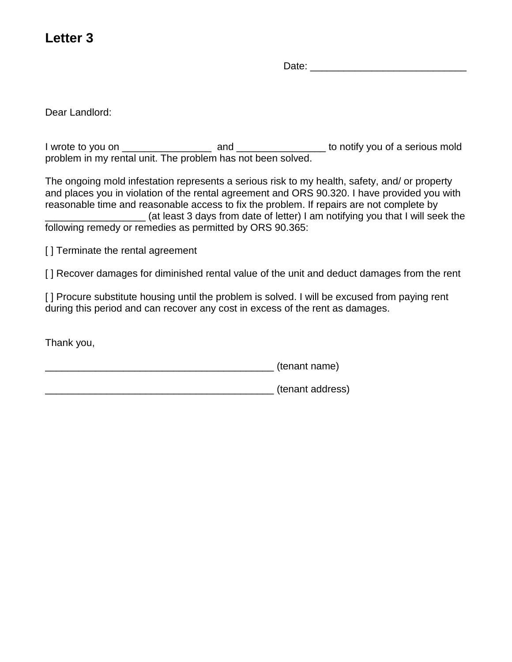# **Letter 3**

Date:  $\Box$ 

Dear Landlord:

I wrote to you on \_\_\_\_\_\_\_\_\_\_\_\_\_\_\_\_ and \_\_\_\_\_\_\_\_\_\_\_\_\_\_\_\_ to notify you of a serious mold problem in my rental unit. The problem has not been solved.

The ongoing mold infestation represents a serious risk to my health, safety, and/ or property and places you in violation of the rental agreement and ORS 90.320. I have provided you with reasonable time and reasonable access to fix the problem. If repairs are not complete by \_\_\_\_\_\_\_\_\_\_\_\_\_\_\_\_\_\_ (at least 3 days from date of letter) I am notifying you that I will seek the following remedy or remedies as permitted by ORS 90.365:

[ ] Terminate the rental agreement

[ ] Recover damages for diminished rental value of the unit and deduct damages from the rent

[] Procure substitute housing until the problem is solved. I will be excused from paying rent during this period and can recover any cost in excess of the rent as damages.

Thank you,

\_\_\_\_\_\_\_\_\_\_\_\_\_\_\_\_\_\_\_\_\_\_\_\_\_\_\_\_\_\_\_\_\_\_\_\_\_\_\_\_\_ (tenant name)

\_\_\_\_\_\_\_\_\_\_\_\_\_\_\_\_\_\_\_\_\_\_\_\_\_\_\_\_\_\_\_\_\_\_\_\_\_\_\_\_\_ (tenant address)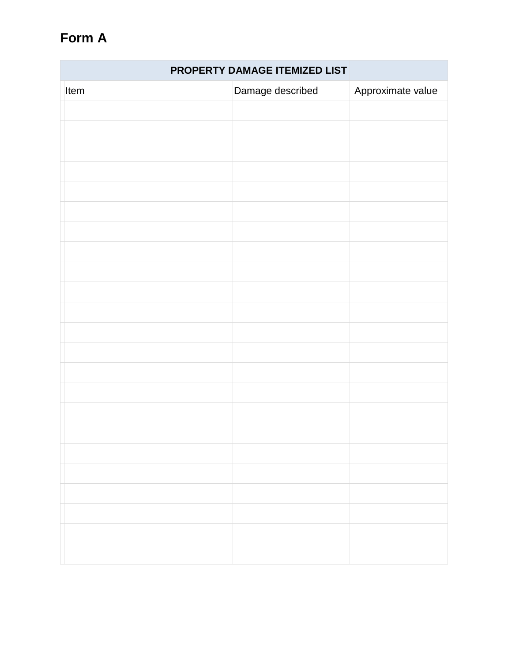# **Form A**

| PROPERTY DAMAGE ITEMIZED LIST |                  |                   |
|-------------------------------|------------------|-------------------|
| Item                          | Damage described | Approximate value |
|                               |                  |                   |
|                               |                  |                   |
|                               |                  |                   |
|                               |                  |                   |
|                               |                  |                   |
|                               |                  |                   |
|                               |                  |                   |
|                               |                  |                   |
|                               |                  |                   |
|                               |                  |                   |
|                               |                  |                   |
|                               |                  |                   |
|                               |                  |                   |
|                               |                  |                   |
|                               |                  |                   |
|                               |                  |                   |
|                               |                  |                   |
|                               |                  |                   |
|                               |                  |                   |
|                               |                  |                   |
|                               |                  |                   |
|                               |                  |                   |
|                               |                  |                   |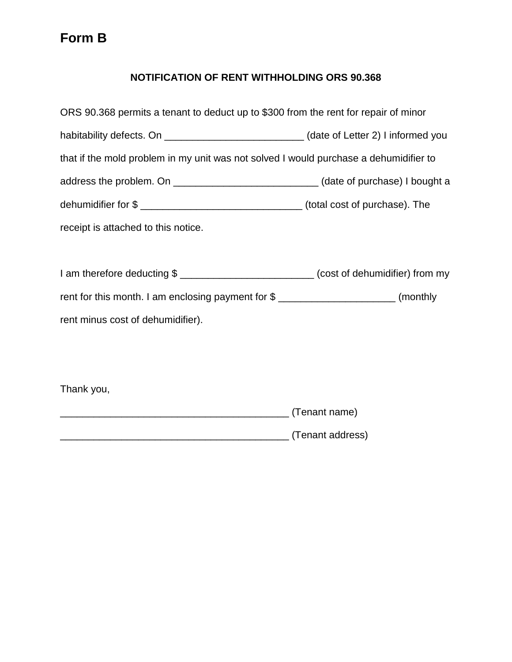# **NOTIFICATION OF RENT WITHHOLDING ORS 90.368**

| ORS 90.368 permits a tenant to deduct up to \$300 from the rent for repair of minor          |  |
|----------------------------------------------------------------------------------------------|--|
| habitability defects. On __________________________________(date of Letter 2) I informed you |  |
| that if the mold problem in my unit was not solved I would purchase a dehumidifier to        |  |
| address the problem. On _____________________________(date of purchase) I bought a           |  |
|                                                                                              |  |
| receipt is attached to this notice.                                                          |  |
|                                                                                              |  |
| I am therefore deducting \$ ____________________________(cost of dehumidifier) from my       |  |
| rent for this month. I am enclosing payment for \$ _________________________(monthly         |  |
| rent minus cost of dehumidifier).                                                            |  |

Thank you,

| (Tenant name)    |
|------------------|
| (Tenant address) |